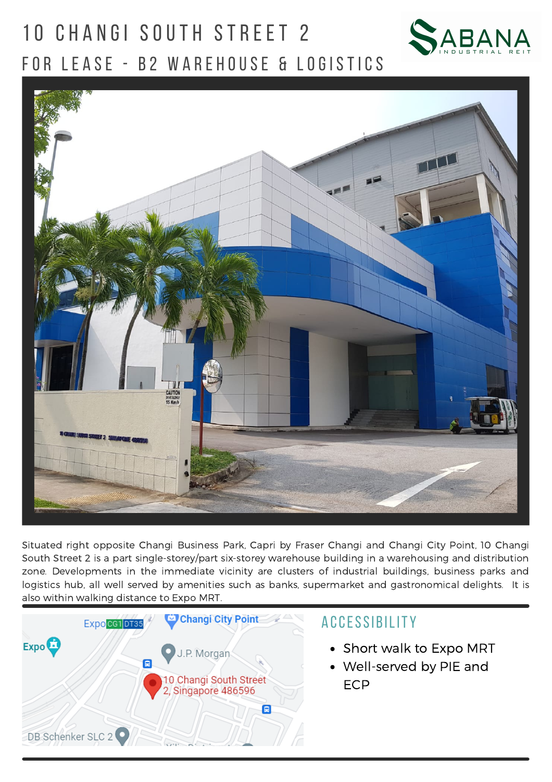# 10 CHANGI SOUTH STREET 2 FOR LEASE - B2 WAREHOUSE & LOGISTICS





Situated right opposite Changi Business Park, Capri by Fraser Changi and Changi City Point, 10 Changi South Street 2 is a part single-storey/part six-storey warehouse building in a warehousing and distribution zone. Developments in the immediate vicinity are clusters of industrial buildings, business parks and logistics hub, all well served by amenities such as banks, supermarket and gastronomical delights. It is also within walking distance to Expo MRT.



- Short walk to Expo MRT
- Well-served by PIE and